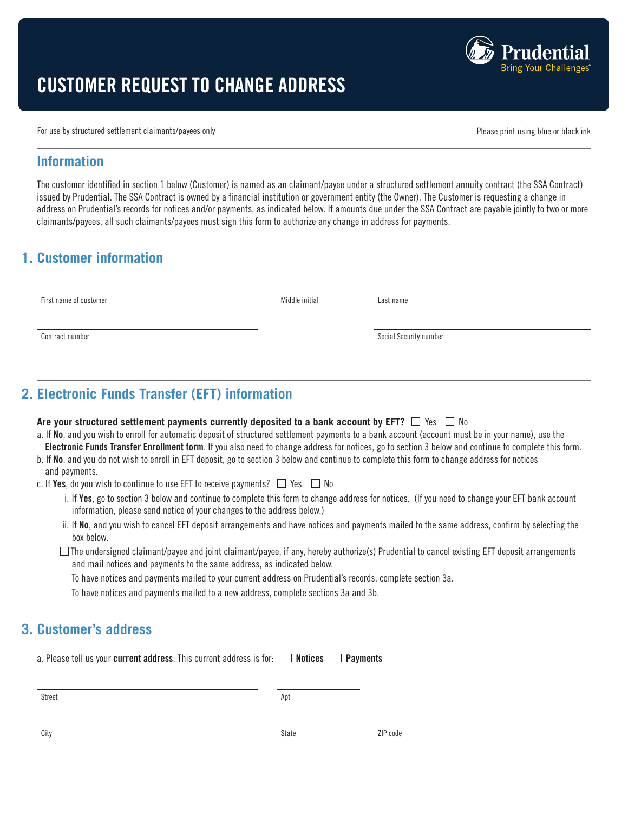

# CUSTOMER REQUEST TO CHANGE ADDRESS

For use by structured settlement claimants/payees only expansion of the structure of the principal principal problem of  $P$  please print using blue or black ink

### **Information**

The customer identified in section 1 below (Customer) is named as an claimant/payee under a structured settlement annuity contract (the SSA Contract) issued by Prudential. The SSA Contract is owned by a financial institution or government entity (the Owner). The Customer is requesting a change in address on Prudential's records for notices and/or payments, as indicated below. If amounts due under the SSA Contract are payable jointly to two or more claimants/payees, all such claimants/payees must sign this form to authorize any change in address for payments.

# **1. Customer information**

First name of customer **Middle initial** Last name

Contract number Social Security number Social Security number

**2. Electronic Funds Transfer (EFT) information**

#### Are your structured settlement payments currently deposited to a bank account by EFT?  $\Box$  Yes  $\Box$  No

- a. If No, and you wish to enroll for automatic deposit of structured settlement payments to a bank account (account must be in your name), use the Electronic Funds Transfer Enrollment form. If you also need to change address for notices, go to section 3 below and continue to complete this form.
- b. If No, and you do not wish to enroll in EFT deposit, go to section 3 below and continue to complete this form to change address for notices and payments.
- c. If Yes, do you wish to continue to use EFT to receive payments?  $\Box$  Yes  $\Box$  No
	- i. If Yes, go to section 3 below and continue to complete this form to change address for notices. (If you need to change your EFT bank account information, please send notice of your changes to the address below.)
	- ii. If No, and you wish to cancel EFT deposit arrangements and have notices and payments mailed to the same address, confirm by selecting the box below.
	- $\Box$  The undersigned claimant/payee and joint claimant/payee, if any, hereby authorize(s) Prudential to cancel existing EFT deposit arrangements and mail notices and payments to the same address, as indicated below.

To have notices and payments mailed to your current address on Prudential's records, complete section 3a.

To have notices and payments mailed to a new address, complete sections 3a and 3b.

# **3. Customer's address**

| a. Please tell us your current address. This current address is for: $\Box$ Notices $\Box$ Payments |     |  |
|-----------------------------------------------------------------------------------------------------|-----|--|
| Street                                                                                              | Apt |  |